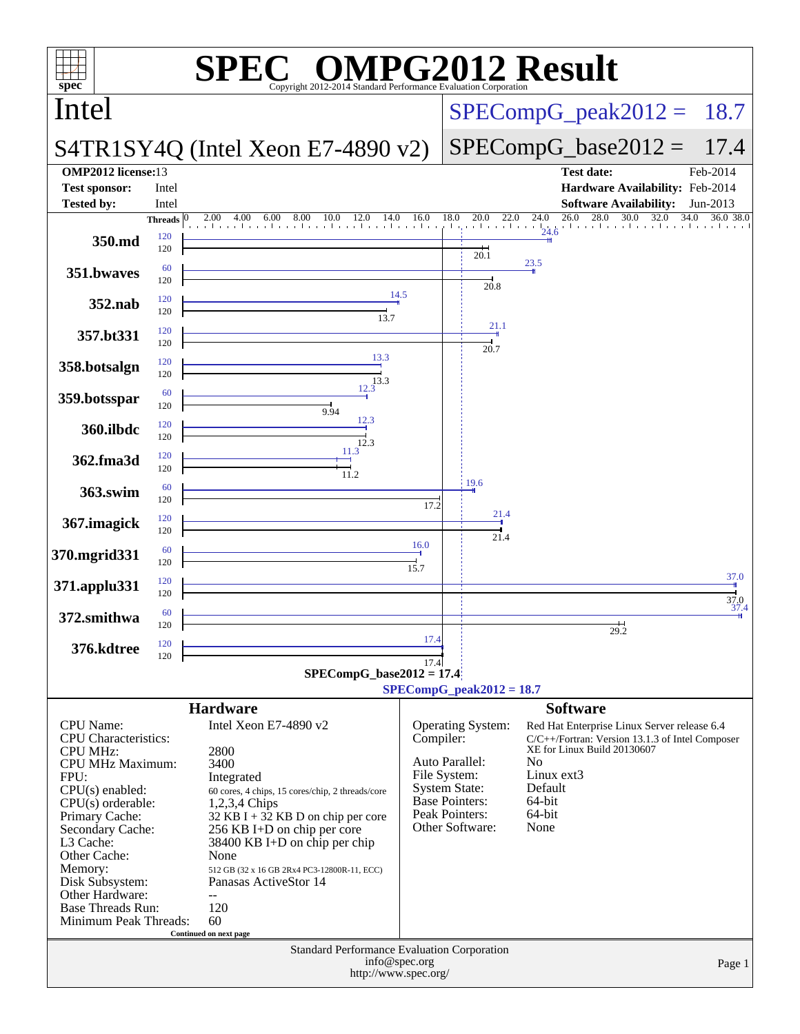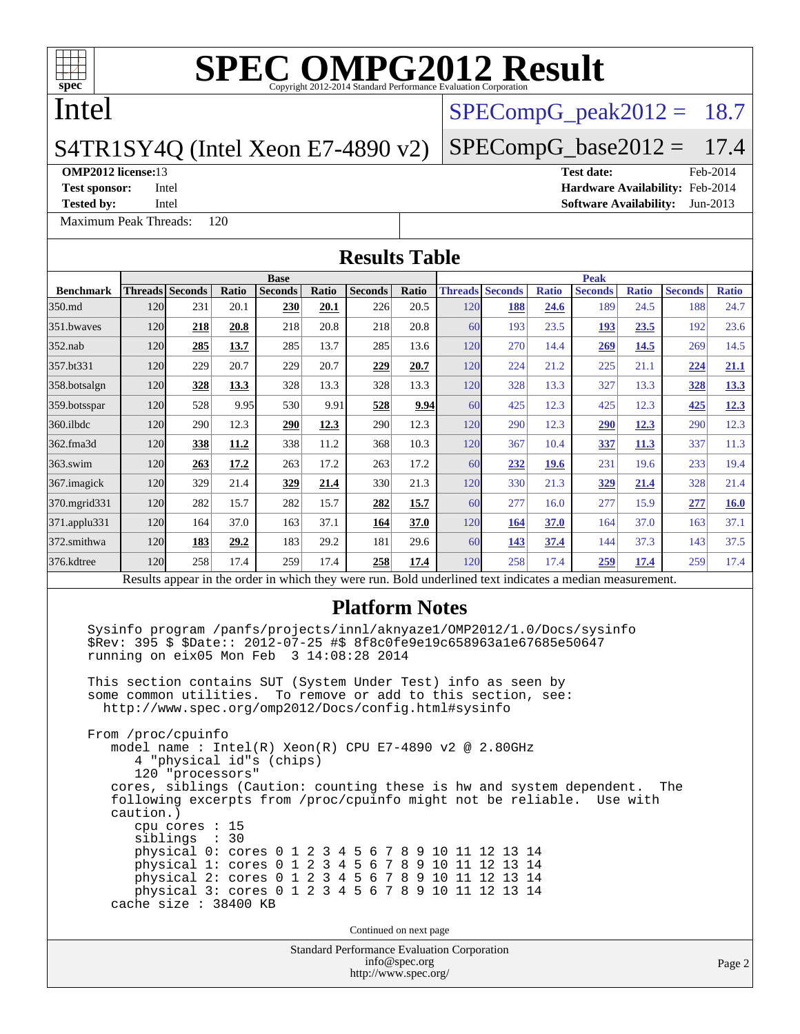

## Intel

### S4TR1SY4Q (Intel Xeon E7-4890 v2)

**[Test sponsor:](http://www.spec.org/auto/omp2012/Docs/result-fields.html#Testsponsor)** Intel **[Hardware Availability:](http://www.spec.org/auto/omp2012/Docs/result-fields.html#HardwareAvailability)** Feb-2014

**[Tested by:](http://www.spec.org/auto/omp2012/Docs/result-fields.html#Testedby)** Intel **[Software Availability:](http://www.spec.org/auto/omp2012/Docs/result-fields.html#SoftwareAvailability)** Jun-2013

[Maximum Peak Threads:](http://www.spec.org/auto/omp2012/Docs/result-fields.html#MaximumPeakThreads) 120

 $SPECompG<sub>p</sub>eak2012 = 18.7$ 

### $SPECompG_base2012 = 17.4$  $SPECompG_base2012 = 17.4$

# **[OMP2012 license:](http://www.spec.org/auto/omp2012/Docs/result-fields.html#OMP2012license)**13 **[Test date:](http://www.spec.org/auto/omp2012/Docs/result-fields.html#Testdate)** Feb-2014

Standard Performance Evaluation Corporation [info@spec.org](mailto:info@spec.org) <http://www.spec.org/> Page 2 **[Results Table](http://www.spec.org/auto/omp2012/Docs/result-fields.html#ResultsTable) [Benchmark](http://www.spec.org/auto/omp2012/Docs/result-fields.html#Benchmark) [Threads](http://www.spec.org/auto/omp2012/Docs/result-fields.html#Threads) [Seconds](http://www.spec.org/auto/omp2012/Docs/result-fields.html#Seconds) [Ratio](http://www.spec.org/auto/omp2012/Docs/result-fields.html#Ratio) [Seconds](http://www.spec.org/auto/omp2012/Docs/result-fields.html#Seconds) [Ratio](http://www.spec.org/auto/omp2012/Docs/result-fields.html#Ratio) [Seconds](http://www.spec.org/auto/omp2012/Docs/result-fields.html#Seconds) [Ratio](http://www.spec.org/auto/omp2012/Docs/result-fields.html#Ratio) Base [Threads](http://www.spec.org/auto/omp2012/Docs/result-fields.html#Threads) [Seconds](http://www.spec.org/auto/omp2012/Docs/result-fields.html#Seconds) [Ratio](http://www.spec.org/auto/omp2012/Docs/result-fields.html#Ratio) [Seconds](http://www.spec.org/auto/omp2012/Docs/result-fields.html#Seconds) [Ratio](http://www.spec.org/auto/omp2012/Docs/result-fields.html#Ratio) [Seconds](http://www.spec.org/auto/omp2012/Docs/result-fields.html#Seconds) [Ratio](http://www.spec.org/auto/omp2012/Docs/result-fields.html#Ratio) Peak** [350.md](http://www.spec.org/auto/omp2012/Docs/350.md.html) 120 231 20.1 **[230](http://www.spec.org/auto/omp2012/Docs/result-fields.html#Median) [20.1](http://www.spec.org/auto/omp2012/Docs/result-fields.html#Median)** 226 20.5 120 **[188](http://www.spec.org/auto/omp2012/Docs/result-fields.html#Median) [24.6](http://www.spec.org/auto/omp2012/Docs/result-fields.html#Median)** 189 24.5 188 24.7 [351.bwaves](http://www.spec.org/auto/omp2012/Docs/351.bwaves.html) 120 **[218](http://www.spec.org/auto/omp2012/Docs/result-fields.html#Median) [20.8](http://www.spec.org/auto/omp2012/Docs/result-fields.html#Median)** 218 20.8 218 20.8 60 193 23.5 **[193](http://www.spec.org/auto/omp2012/Docs/result-fields.html#Median) [23.5](http://www.spec.org/auto/omp2012/Docs/result-fields.html#Median)** 192 23.6 [352.nab](http://www.spec.org/auto/omp2012/Docs/352.nab.html) 120 **[285](http://www.spec.org/auto/omp2012/Docs/result-fields.html#Median) [13.7](http://www.spec.org/auto/omp2012/Docs/result-fields.html#Median)** 285 13.7 285 13.6 120 270 14.4 **[269](http://www.spec.org/auto/omp2012/Docs/result-fields.html#Median) [14.5](http://www.spec.org/auto/omp2012/Docs/result-fields.html#Median)** 269 14.5 [357.bt331](http://www.spec.org/auto/omp2012/Docs/357.bt331.html) 120 229 20.7 229 20.7 **[229](http://www.spec.org/auto/omp2012/Docs/result-fields.html#Median) [20.7](http://www.spec.org/auto/omp2012/Docs/result-fields.html#Median)** 120 224 21.2 225 21.1 **[224](http://www.spec.org/auto/omp2012/Docs/result-fields.html#Median) [21.1](http://www.spec.org/auto/omp2012/Docs/result-fields.html#Median)** [358.botsalgn](http://www.spec.org/auto/omp2012/Docs/358.botsalgn.html) 120 **[328](http://www.spec.org/auto/omp2012/Docs/result-fields.html#Median) [13.3](http://www.spec.org/auto/omp2012/Docs/result-fields.html#Median)** 328 13.3 328 13.3 120 328 13.3 327 13.3 **[328](http://www.spec.org/auto/omp2012/Docs/result-fields.html#Median) [13.3](http://www.spec.org/auto/omp2012/Docs/result-fields.html#Median)** [359.botsspar](http://www.spec.org/auto/omp2012/Docs/359.botsspar.html) 120 528 9.95 530 9.91 **[528](http://www.spec.org/auto/omp2012/Docs/result-fields.html#Median) [9.94](http://www.spec.org/auto/omp2012/Docs/result-fields.html#Median)** 60 425 12.3 425 12.3 **[425](http://www.spec.org/auto/omp2012/Docs/result-fields.html#Median) [12.3](http://www.spec.org/auto/omp2012/Docs/result-fields.html#Median)** [360.ilbdc](http://www.spec.org/auto/omp2012/Docs/360.ilbdc.html) 120 290 12.3 **[290](http://www.spec.org/auto/omp2012/Docs/result-fields.html#Median) [12.3](http://www.spec.org/auto/omp2012/Docs/result-fields.html#Median)** 290 12.3 120 290 12.3 **[290](http://www.spec.org/auto/omp2012/Docs/result-fields.html#Median) [12.3](http://www.spec.org/auto/omp2012/Docs/result-fields.html#Median)** 290 12.3 [362.fma3d](http://www.spec.org/auto/omp2012/Docs/362.fma3d.html) 120 **[338](http://www.spec.org/auto/omp2012/Docs/result-fields.html#Median) [11.2](http://www.spec.org/auto/omp2012/Docs/result-fields.html#Median)** 338 11.2 368 10.3 120 367 10.4 **[337](http://www.spec.org/auto/omp2012/Docs/result-fields.html#Median) [11.3](http://www.spec.org/auto/omp2012/Docs/result-fields.html#Median)** 337 11.3 [363.swim](http://www.spec.org/auto/omp2012/Docs/363.swim.html) 120 **[263](http://www.spec.org/auto/omp2012/Docs/result-fields.html#Median) [17.2](http://www.spec.org/auto/omp2012/Docs/result-fields.html#Median)** 263 17.2 263 17.2 60 **[232](http://www.spec.org/auto/omp2012/Docs/result-fields.html#Median) [19.6](http://www.spec.org/auto/omp2012/Docs/result-fields.html#Median)** 231 19.6 233 19.4 [367.imagick](http://www.spec.org/auto/omp2012/Docs/367.imagick.html) 120 329 21.4 **[329](http://www.spec.org/auto/omp2012/Docs/result-fields.html#Median) [21.4](http://www.spec.org/auto/omp2012/Docs/result-fields.html#Median)** 330 21.3 120 330 21.3 **[329](http://www.spec.org/auto/omp2012/Docs/result-fields.html#Median) [21.4](http://www.spec.org/auto/omp2012/Docs/result-fields.html#Median)** 328 21.4 [370.mgrid331](http://www.spec.org/auto/omp2012/Docs/370.mgrid331.html) 120 282 15.7 282 15.7 **[282](http://www.spec.org/auto/omp2012/Docs/result-fields.html#Median) [15.7](http://www.spec.org/auto/omp2012/Docs/result-fields.html#Median)** 60 277 16.0 277 15.9 **[277](http://www.spec.org/auto/omp2012/Docs/result-fields.html#Median) [16.0](http://www.spec.org/auto/omp2012/Docs/result-fields.html#Median)** [371.applu331](http://www.spec.org/auto/omp2012/Docs/371.applu331.html) 120 164 37.0 163 37.1 **[164](http://www.spec.org/auto/omp2012/Docs/result-fields.html#Median) [37.0](http://www.spec.org/auto/omp2012/Docs/result-fields.html#Median)** 120 **[164](http://www.spec.org/auto/omp2012/Docs/result-fields.html#Median) [37.0](http://www.spec.org/auto/omp2012/Docs/result-fields.html#Median)** 164 37.0 163 37.1 [372.smithwa](http://www.spec.org/auto/omp2012/Docs/372.smithwa.html) 120 **[183](http://www.spec.org/auto/omp2012/Docs/result-fields.html#Median) [29.2](http://www.spec.org/auto/omp2012/Docs/result-fields.html#Median)** 183 29.2 181 29.6 60 **[143](http://www.spec.org/auto/omp2012/Docs/result-fields.html#Median) [37.4](http://www.spec.org/auto/omp2012/Docs/result-fields.html#Median)** 144 37.3 143 37.5 [376.kdtree](http://www.spec.org/auto/omp2012/Docs/376.kdtree.html) 120 258 17.4 259 17.4 **[258](http://www.spec.org/auto/omp2012/Docs/result-fields.html#Median) [17.4](http://www.spec.org/auto/omp2012/Docs/result-fields.html#Median)** 120 258 17.4 **[259](http://www.spec.org/auto/omp2012/Docs/result-fields.html#Median) [17.4](http://www.spec.org/auto/omp2012/Docs/result-fields.html#Median)** 259 17.4 Results appear in the [order in which they were run.](http://www.spec.org/auto/omp2012/Docs/result-fields.html#RunOrder) Bold underlined text [indicates a median measurement.](http://www.spec.org/auto/omp2012/Docs/result-fields.html#Median) **[Platform Notes](http://www.spec.org/auto/omp2012/Docs/result-fields.html#PlatformNotes)** Sysinfo program /panfs/projects/innl/aknyaze1/OMP2012/1.0/Docs/sysinfo \$Rev: 395 \$ \$Date:: 2012-07-25 #\$ 8f8c0fe9e19c658963a1e67685e50647 running on eix05 Mon Feb 3 14:08:28 2014 This section contains SUT (System Under Test) info as seen by some common utilities. To remove or add to this section, see: <http://www.spec.org/omp2012/Docs/config.html#sysinfo> From /proc/cpuinfo model name : Intel(R) Xeon(R) CPU E7-4890 v2 @ 2.80GHz 4 "physical id"s (chips) 120 "processors" cores, siblings (Caution: counting these is hw and system dependent. The following excerpts from /proc/cpuinfo might not be reliable. Use with caution.) cpu cores : 15 siblings : 30 physical 0: cores 0 1 2 3 4 5 6 7 8 9 10 11 12 13 14 physical 1: cores 0 1 2 3 4 5 6 7 8 9 10 11 12 13 14 physical 2: cores 0 1 2 3 4 5 6 7 8 9 10 11 12 13 14 physical 3: cores 0 1 2 3 4 5 6 7 8 9 10 11 12 13 14 cache size : 38400 KB Continued on next page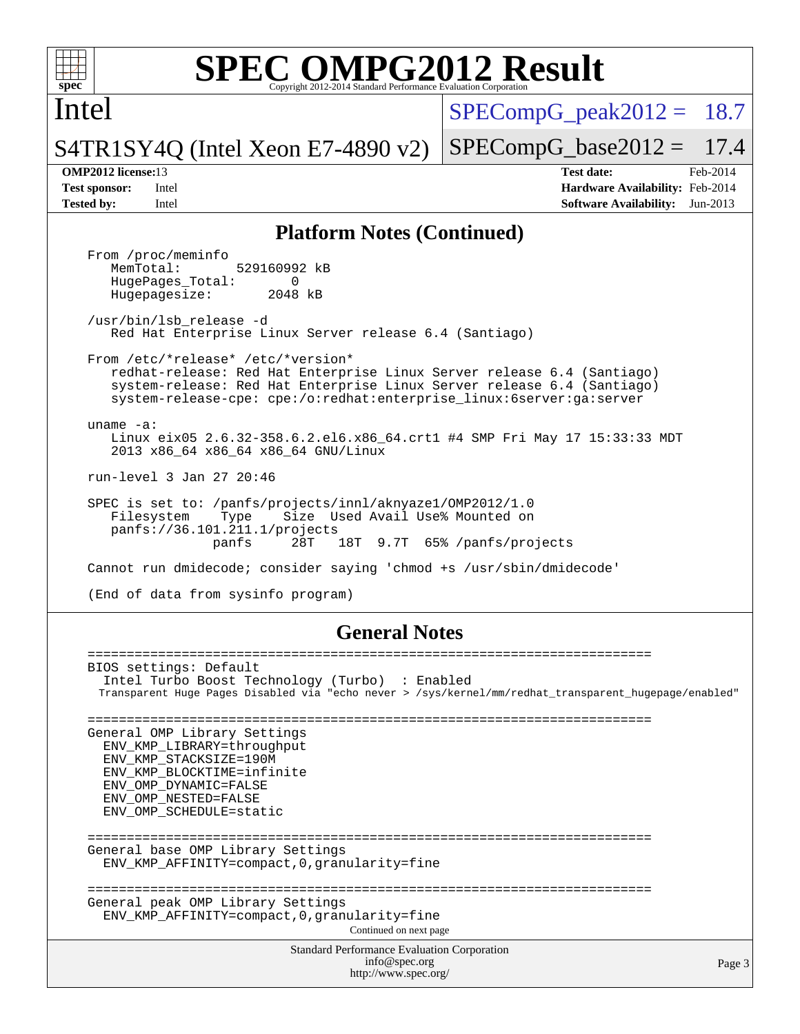

Intel

 $SPECompG<sub>p</sub>eak2012 = 18.7$ 

 $SPECompG_base2012 = 17.4$  $SPECompG_base2012 = 17.4$ 

S4TR1SY4Q (Intel Xeon E7-4890 v2)

**[Tested by:](http://www.spec.org/auto/omp2012/Docs/result-fields.html#Testedby)** Intel **[Software Availability:](http://www.spec.org/auto/omp2012/Docs/result-fields.html#SoftwareAvailability)** Jun-2013

**[OMP2012 license:](http://www.spec.org/auto/omp2012/Docs/result-fields.html#OMP2012license)**13 **[Test date:](http://www.spec.org/auto/omp2012/Docs/result-fields.html#Testdate)** Feb-2014 **[Test sponsor:](http://www.spec.org/auto/omp2012/Docs/result-fields.html#Testsponsor)** Intel **[Hardware Availability:](http://www.spec.org/auto/omp2012/Docs/result-fields.html#HardwareAvailability)** Feb-2014

### **[Platform Notes \(Continued\)](http://www.spec.org/auto/omp2012/Docs/result-fields.html#PlatformNotes)**

From /proc/meminfo<br>MemTotal: 529160992 kB HugePages\_Total: 0<br>Hugepagesize: 2048 kB Hugepagesize: /usr/bin/lsb\_release -d Red Hat Enterprise Linux Server release 6.4 (Santiago) From /etc/\*release\* /etc/\*version\* redhat-release: Red Hat Enterprise Linux Server release 6.4 (Santiago) system-release: Red Hat Enterprise Linux Server release 6.4 (Santiago) system-release-cpe: cpe:/o:redhat:enterprise\_linux:6server:ga:server uname -a: Linux eix05 2.6.32-358.6.2.el6.x86\_64.crt1 #4 SMP Fri May 17 15:33:33 MDT 2013 x86\_64 x86\_64 x86\_64 GNU/Linux run-level 3 Jan 27 20:46 SPEC is set to: /panfs/projects/innl/aknyaze1/OMP2012/1.0 Filesystem Type Size Used Avail Use% Mounted on panfs://36.101.211.1/projects panfs 28T 18T 9.7T 65% /panfs/projects Cannot run dmidecode; consider saying 'chmod +s /usr/sbin/dmidecode' (End of data from sysinfo program) **[General Notes](http://www.spec.org/auto/omp2012/Docs/result-fields.html#GeneralNotes)**

| BIOS settings: Default<br>Intel Turbo Boost Technology (Turbo) : Enabled<br>Transparent Huge Pages Disabled via "echo never > /sys/kernel/mm/redhat_transparent_hugepage/enabled"              |        |
|------------------------------------------------------------------------------------------------------------------------------------------------------------------------------------------------|--------|
| General OMP Library Settings<br>ENV KMP LIBRARY=throughput<br>ENV KMP STACKSIZE=190M<br>ENV KMP BLOCKTIME=infinite<br>ENV OMP DYNAMIC=FALSE<br>ENV OMP NESTED=FALSE<br>ENV OMP SCHEDULE=static |        |
| General base OMP Library Settings<br>ENV KMP AFFINITY=compact, 0, qranularity=fine<br>General peak OMP Library Settings                                                                        |        |
| ENV KMP AFFINITY=compact, 0, qranularity=fine<br>Continued on next page                                                                                                                        |        |
| <b>Standard Performance Evaluation Corporation</b><br>info@spec.org<br>http://www.spec.org/                                                                                                    | Page 3 |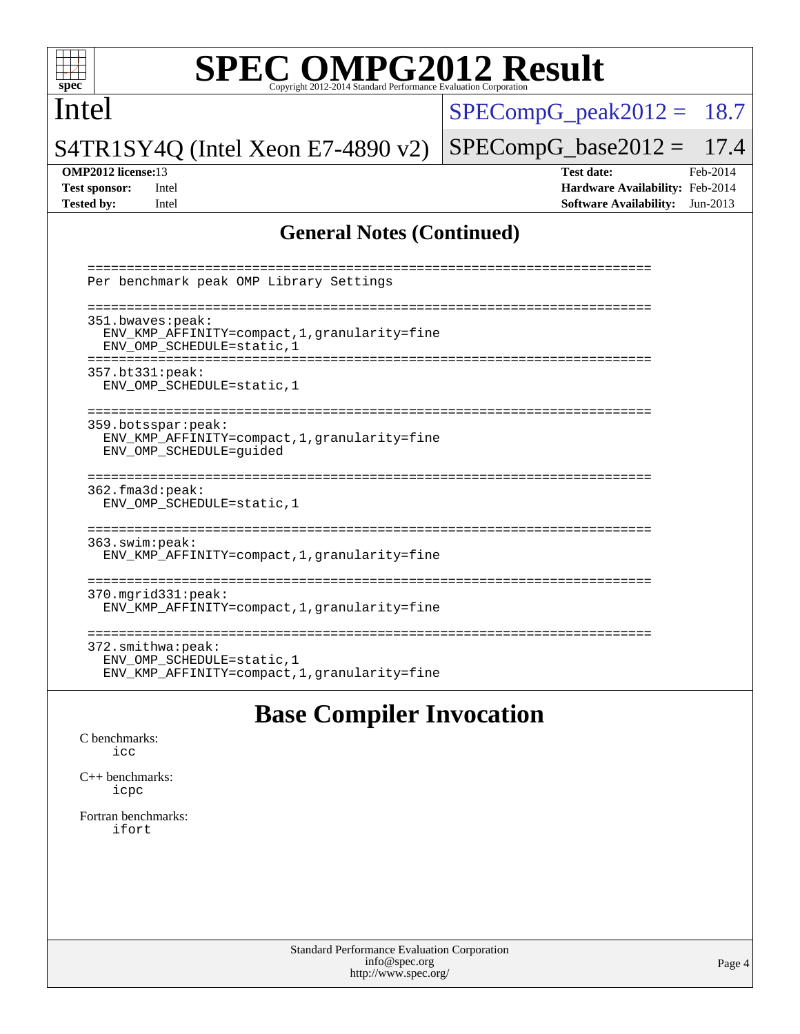

## Intel

 $SPECompG_peak2012 = 18.7$  $SPECompG_peak2012 = 18.7$ 

S4TR1SY4Q (Intel Xeon E7-4890 v2)

### **[OMP2012 license:](http://www.spec.org/auto/omp2012/Docs/result-fields.html#OMP2012license)**13 **[Test date:](http://www.spec.org/auto/omp2012/Docs/result-fields.html#Testdate)** Feb-2014

 $SPECompG_base2012 = 17.4$  $SPECompG_base2012 = 17.4$ 

**[Test sponsor:](http://www.spec.org/auto/omp2012/Docs/result-fields.html#Testsponsor)** Intel **[Hardware Availability:](http://www.spec.org/auto/omp2012/Docs/result-fields.html#HardwareAvailability)** Feb-2014 **[Tested by:](http://www.spec.org/auto/omp2012/Docs/result-fields.html#Testedby)** Intel **[Software Availability:](http://www.spec.org/auto/omp2012/Docs/result-fields.html#SoftwareAvailability)** Jun-2013

### **[General Notes \(Continued\)](http://www.spec.org/auto/omp2012/Docs/result-fields.html#GeneralNotes)**

| Per benchmark peak OMP Library Settings                                                                                 |
|-------------------------------------------------------------------------------------------------------------------------|
| 351.bwaves:peak:<br>ENV KMP AFFINITY=compact, 1, granularity=fine<br>ENV OMP SCHEDULE=static, 1<br>-------------------- |
| 357.bt331:peak:<br>ENV OMP SCHEDULE=static, 1                                                                           |
| 359.botsspar:peak:<br>ENV_KMP_AFFINITY=compact, 1, granularity=fine<br>ENV_OMP_SCHEDULE=guided                          |
| 362.fma3d:peak:<br>ENV OMP SCHEDULE=static, 1                                                                           |
| 363.swin:peak:<br>ENV KMP AFFINITY=compact, 1, granularity=fine                                                         |
| $370.\text{mgrid}331:\text{peak}:$<br>ENV KMP AFFINITY=compact, 1, granularity=fine                                     |
| $372.\text{smithwa:peak}:$<br>ENV OMP SCHEDULE=static, 1<br>ENV KMP AFFINITY=compact, 1, qranularity=fine               |

# **[Base Compiler Invocation](http://www.spec.org/auto/omp2012/Docs/result-fields.html#BaseCompilerInvocation)**

[C benchmarks](http://www.spec.org/auto/omp2012/Docs/result-fields.html#Cbenchmarks): [icc](http://www.spec.org/omp2012/results/res2014q1/omp2012-20140204-00044.flags.html#user_CCbase_intel_icc_a87c68a857bc5ec5362391a49d3a37a6)

[C++ benchmarks:](http://www.spec.org/auto/omp2012/Docs/result-fields.html#CXXbenchmarks) [icpc](http://www.spec.org/omp2012/results/res2014q1/omp2012-20140204-00044.flags.html#user_CXXbase_intel_icpc_2d899f8d163502b12eb4a60069f80c1c)

[Fortran benchmarks](http://www.spec.org/auto/omp2012/Docs/result-fields.html#Fortranbenchmarks): [ifort](http://www.spec.org/omp2012/results/res2014q1/omp2012-20140204-00044.flags.html#user_FCbase_intel_ifort_8a5e5e06b19a251bdeaf8fdab5d62f20)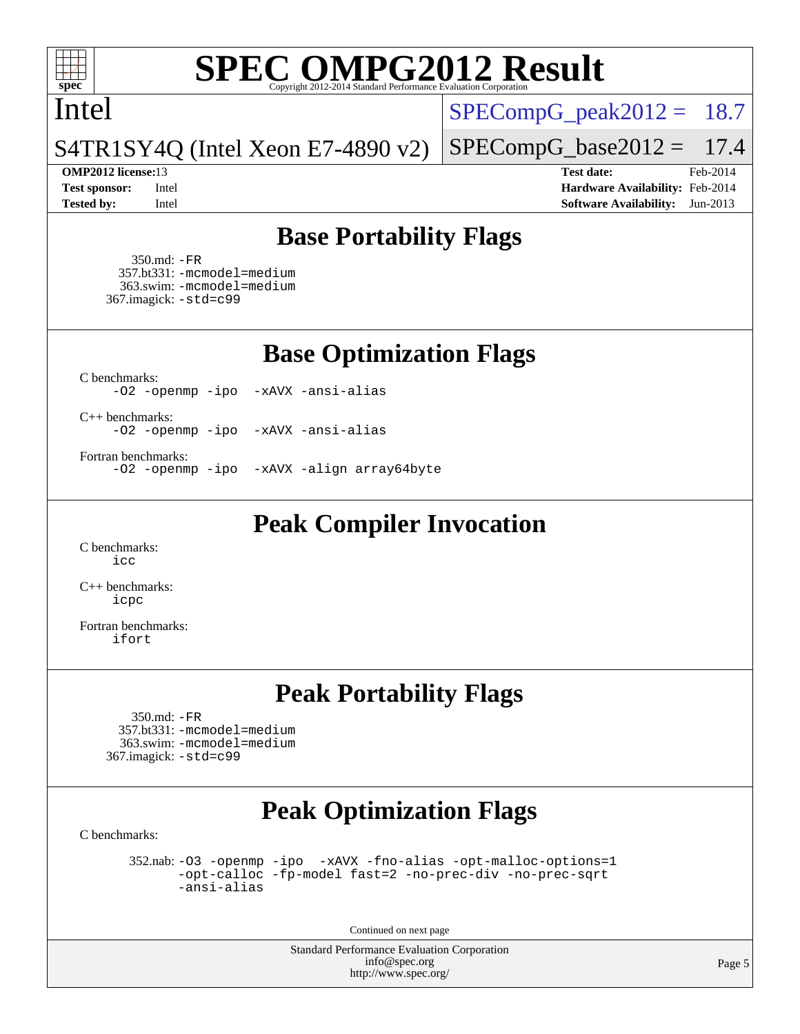

### Intel

 $SPECompG_peak2012 = 18.7$  $SPECompG_peak2012 = 18.7$ 

S4TR1SY4Q (Intel Xeon E7-4890 v2)

 $SPECompG_base2012 = 17.4$  $SPECompG_base2012 = 17.4$ **[OMP2012 license:](http://www.spec.org/auto/omp2012/Docs/result-fields.html#OMP2012license)**13 **[Test date:](http://www.spec.org/auto/omp2012/Docs/result-fields.html#Testdate)** Feb-2014

**[Test sponsor:](http://www.spec.org/auto/omp2012/Docs/result-fields.html#Testsponsor)** Intel **[Hardware Availability:](http://www.spec.org/auto/omp2012/Docs/result-fields.html#HardwareAvailability)** Feb-2014 **[Tested by:](http://www.spec.org/auto/omp2012/Docs/result-fields.html#Testedby)** Intel **[Software Availability:](http://www.spec.org/auto/omp2012/Docs/result-fields.html#SoftwareAvailability)** Jun-2013

# **[Base Portability Flags](http://www.spec.org/auto/omp2012/Docs/result-fields.html#BasePortabilityFlags)**

 350.md: [-FR](http://www.spec.org/omp2012/results/res2014q1/omp2012-20140204-00044.flags.html#user_baseFPORTABILITY350_md_f-FR) 357.bt331: [-mcmodel=medium](http://www.spec.org/omp2012/results/res2014q1/omp2012-20140204-00044.flags.html#user_basePORTABILITY357_bt331_f-mcmodel_3a41622424bdd074c4f0f2d2f224c7e5) 363.swim: [-mcmodel=medium](http://www.spec.org/omp2012/results/res2014q1/omp2012-20140204-00044.flags.html#user_basePORTABILITY363_swim_f-mcmodel_3a41622424bdd074c4f0f2d2f224c7e5) 367.imagick: [-std=c99](http://www.spec.org/omp2012/results/res2014q1/omp2012-20140204-00044.flags.html#user_baseCPORTABILITY367_imagick_f-std_2ec6533b6e06f1c4a6c9b78d9e9cde24)

**[Base Optimization Flags](http://www.spec.org/auto/omp2012/Docs/result-fields.html#BaseOptimizationFlags)**

[C benchmarks](http://www.spec.org/auto/omp2012/Docs/result-fields.html#Cbenchmarks):

[-O2](http://www.spec.org/omp2012/results/res2014q1/omp2012-20140204-00044.flags.html#user_CCbase_f-O2) [-openmp](http://www.spec.org/omp2012/results/res2014q1/omp2012-20140204-00044.flags.html#user_CCbase_f-openmp) [-ipo](http://www.spec.org/omp2012/results/res2014q1/omp2012-20140204-00044.flags.html#user_CCbase_f-ipo_84062ab53814f613187d02344b8f49a7) [-xAVX](http://www.spec.org/omp2012/results/res2014q1/omp2012-20140204-00044.flags.html#user_CCbase_f-xAVX) [-ansi-alias](http://www.spec.org/omp2012/results/res2014q1/omp2012-20140204-00044.flags.html#user_CCbase_f-ansi-alias)

[C++ benchmarks:](http://www.spec.org/auto/omp2012/Docs/result-fields.html#CXXbenchmarks) [-O2](http://www.spec.org/omp2012/results/res2014q1/omp2012-20140204-00044.flags.html#user_CXXbase_f-O2) [-openmp](http://www.spec.org/omp2012/results/res2014q1/omp2012-20140204-00044.flags.html#user_CXXbase_f-openmp) [-ipo](http://www.spec.org/omp2012/results/res2014q1/omp2012-20140204-00044.flags.html#user_CXXbase_f-ipo_84062ab53814f613187d02344b8f49a7) [-xAVX](http://www.spec.org/omp2012/results/res2014q1/omp2012-20140204-00044.flags.html#user_CXXbase_f-xAVX) [-ansi-alias](http://www.spec.org/omp2012/results/res2014q1/omp2012-20140204-00044.flags.html#user_CXXbase_f-ansi-alias)

[Fortran benchmarks](http://www.spec.org/auto/omp2012/Docs/result-fields.html#Fortranbenchmarks):

[-O2](http://www.spec.org/omp2012/results/res2014q1/omp2012-20140204-00044.flags.html#user_FCbase_f-O2) [-openmp](http://www.spec.org/omp2012/results/res2014q1/omp2012-20140204-00044.flags.html#user_FCbase_f-openmp) [-ipo](http://www.spec.org/omp2012/results/res2014q1/omp2012-20140204-00044.flags.html#user_FCbase_f-ipo_84062ab53814f613187d02344b8f49a7) [-xAVX](http://www.spec.org/omp2012/results/res2014q1/omp2012-20140204-00044.flags.html#user_FCbase_f-xAVX) [-align array64byte](http://www.spec.org/omp2012/results/res2014q1/omp2012-20140204-00044.flags.html#user_FCbase_f-align_c9377f996e966d652baaf753401d4725)

**[Peak Compiler Invocation](http://www.spec.org/auto/omp2012/Docs/result-fields.html#PeakCompilerInvocation)**

[C benchmarks](http://www.spec.org/auto/omp2012/Docs/result-fields.html#Cbenchmarks): [icc](http://www.spec.org/omp2012/results/res2014q1/omp2012-20140204-00044.flags.html#user_CCpeak_intel_icc_a87c68a857bc5ec5362391a49d3a37a6)

[C++ benchmarks:](http://www.spec.org/auto/omp2012/Docs/result-fields.html#CXXbenchmarks) [icpc](http://www.spec.org/omp2012/results/res2014q1/omp2012-20140204-00044.flags.html#user_CXXpeak_intel_icpc_2d899f8d163502b12eb4a60069f80c1c)

[Fortran benchmarks](http://www.spec.org/auto/omp2012/Docs/result-fields.html#Fortranbenchmarks): [ifort](http://www.spec.org/omp2012/results/res2014q1/omp2012-20140204-00044.flags.html#user_FCpeak_intel_ifort_8a5e5e06b19a251bdeaf8fdab5d62f20)

# **[Peak Portability Flags](http://www.spec.org/auto/omp2012/Docs/result-fields.html#PeakPortabilityFlags)**

 350.md: [-FR](http://www.spec.org/omp2012/results/res2014q1/omp2012-20140204-00044.flags.html#user_peakFPORTABILITY350_md_f-FR) 357.bt331: [-mcmodel=medium](http://www.spec.org/omp2012/results/res2014q1/omp2012-20140204-00044.flags.html#user_peakPORTABILITY357_bt331_f-mcmodel_3a41622424bdd074c4f0f2d2f224c7e5) 363.swim: [-mcmodel=medium](http://www.spec.org/omp2012/results/res2014q1/omp2012-20140204-00044.flags.html#user_peakPORTABILITY363_swim_f-mcmodel_3a41622424bdd074c4f0f2d2f224c7e5) 367.imagick: [-std=c99](http://www.spec.org/omp2012/results/res2014q1/omp2012-20140204-00044.flags.html#user_peakCPORTABILITY367_imagick_f-std_2ec6533b6e06f1c4a6c9b78d9e9cde24)

# **[Peak Optimization Flags](http://www.spec.org/auto/omp2012/Docs/result-fields.html#PeakOptimizationFlags)**

[C benchmarks](http://www.spec.org/auto/omp2012/Docs/result-fields.html#Cbenchmarks):

 352.nab: [-O3](http://www.spec.org/omp2012/results/res2014q1/omp2012-20140204-00044.flags.html#user_peakOPTIMIZE352_nab_f-O3) [-openmp](http://www.spec.org/omp2012/results/res2014q1/omp2012-20140204-00044.flags.html#user_peakOPTIMIZE352_nab_f-openmp) [-ipo](http://www.spec.org/omp2012/results/res2014q1/omp2012-20140204-00044.flags.html#user_peakOPTIMIZE352_nab_f-ipo_84062ab53814f613187d02344b8f49a7) [-xAVX](http://www.spec.org/omp2012/results/res2014q1/omp2012-20140204-00044.flags.html#user_peakOPTIMIZE352_nab_f-xAVX) [-fno-alias](http://www.spec.org/omp2012/results/res2014q1/omp2012-20140204-00044.flags.html#user_peakOPTIMIZE352_nab_f-no-alias_694e77f6c5a51e658e82ccff53a9e63a) [-opt-malloc-options=1](http://www.spec.org/omp2012/results/res2014q1/omp2012-20140204-00044.flags.html#user_peakOPTIMIZE352_nab_f-opt-malloc-options_d882ffc6ff87e51efe45f9a5190004b0) [-opt-calloc](http://www.spec.org/omp2012/results/res2014q1/omp2012-20140204-00044.flags.html#user_peakOPTIMIZE352_nab_f-opt-calloc) [-fp-model fast=2](http://www.spec.org/omp2012/results/res2014q1/omp2012-20140204-00044.flags.html#user_peakOPTIMIZE352_nab_f-fp-model_a7fb8ccb7275e23f0079632c153cfcab) [-no-prec-div](http://www.spec.org/omp2012/results/res2014q1/omp2012-20140204-00044.flags.html#user_peakOPTIMIZE352_nab_f-no-prec-div) [-no-prec-sqrt](http://www.spec.org/omp2012/results/res2014q1/omp2012-20140204-00044.flags.html#user_peakOPTIMIZE352_nab_f-no-prec-sqrt) [-ansi-alias](http://www.spec.org/omp2012/results/res2014q1/omp2012-20140204-00044.flags.html#user_peakCOPTIMIZE352_nab_f-ansi-alias)

Continued on next page

Standard Performance Evaluation Corporation [info@spec.org](mailto:info@spec.org) <http://www.spec.org/>

Page 5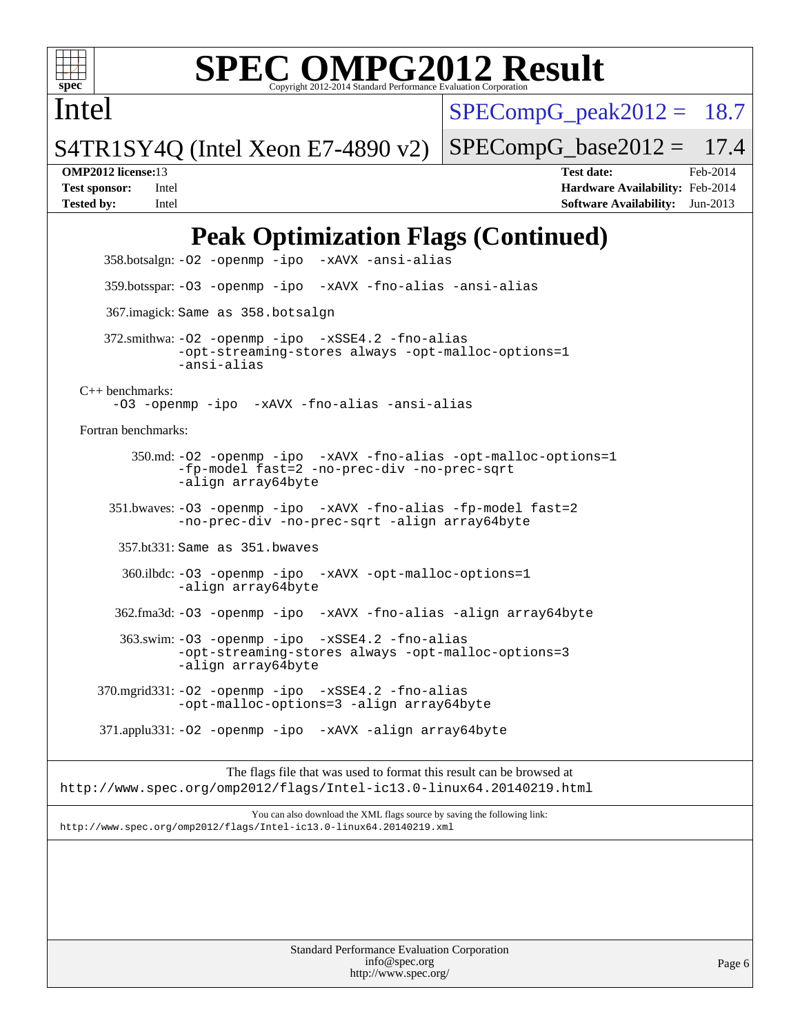

Intel

# **[SPEC OMPG2012 Result](http://www.spec.org/auto/omp2012/Docs/result-fields.html#SPECOMPG2012Result)**

 $SPECompG<sub>p</sub>eak2012 = 18.7$ 

S4TR1SY4Q (Intel Xeon E7-4890 v2)

 $SPECompG_base2012 = 17.4$  $SPECompG_base2012 = 17.4$ 

**[OMP2012 license:](http://www.spec.org/auto/omp2012/Docs/result-fields.html#OMP2012license)**13 **[Test date:](http://www.spec.org/auto/omp2012/Docs/result-fields.html#Testdate)** Feb-2014 **[Test sponsor:](http://www.spec.org/auto/omp2012/Docs/result-fields.html#Testsponsor)** Intel **[Hardware Availability:](http://www.spec.org/auto/omp2012/Docs/result-fields.html#HardwareAvailability)** Feb-2014 **[Tested by:](http://www.spec.org/auto/omp2012/Docs/result-fields.html#Testedby)** Intel **[Software Availability:](http://www.spec.org/auto/omp2012/Docs/result-fields.html#SoftwareAvailability)** Jun-2013

# **[Peak Optimization Flags \(Continued\)](http://www.spec.org/auto/omp2012/Docs/result-fields.html#PeakOptimizationFlags)**

 358.botsalgn: [-O2](http://www.spec.org/omp2012/results/res2014q1/omp2012-20140204-00044.flags.html#user_peakOPTIMIZE358_botsalgn_f-O2) [-openmp](http://www.spec.org/omp2012/results/res2014q1/omp2012-20140204-00044.flags.html#user_peakOPTIMIZE358_botsalgn_f-openmp) [-ipo](http://www.spec.org/omp2012/results/res2014q1/omp2012-20140204-00044.flags.html#user_peakOPTIMIZE358_botsalgn_f-ipo_84062ab53814f613187d02344b8f49a7) [-xAVX](http://www.spec.org/omp2012/results/res2014q1/omp2012-20140204-00044.flags.html#user_peakOPTIMIZE358_botsalgn_f-xAVX) [-ansi-alias](http://www.spec.org/omp2012/results/res2014q1/omp2012-20140204-00044.flags.html#user_peakCOPTIMIZE358_botsalgn_f-ansi-alias) 359.botsspar: [-O3](http://www.spec.org/omp2012/results/res2014q1/omp2012-20140204-00044.flags.html#user_peakOPTIMIZE359_botsspar_f-O3) [-openmp](http://www.spec.org/omp2012/results/res2014q1/omp2012-20140204-00044.flags.html#user_peakOPTIMIZE359_botsspar_f-openmp) [-ipo](http://www.spec.org/omp2012/results/res2014q1/omp2012-20140204-00044.flags.html#user_peakOPTIMIZE359_botsspar_f-ipo_84062ab53814f613187d02344b8f49a7) [-xAVX](http://www.spec.org/omp2012/results/res2014q1/omp2012-20140204-00044.flags.html#user_peakOPTIMIZE359_botsspar_f-xAVX) [-fno-alias](http://www.spec.org/omp2012/results/res2014q1/omp2012-20140204-00044.flags.html#user_peakOPTIMIZE359_botsspar_f-no-alias_694e77f6c5a51e658e82ccff53a9e63a) [-ansi-alias](http://www.spec.org/omp2012/results/res2014q1/omp2012-20140204-00044.flags.html#user_peakCOPTIMIZE359_botsspar_f-ansi-alias) 367.imagick: Same as 358.botsalgn 372.smithwa: [-O2](http://www.spec.org/omp2012/results/res2014q1/omp2012-20140204-00044.flags.html#user_peakOPTIMIZE372_smithwa_f-O2) [-openmp](http://www.spec.org/omp2012/results/res2014q1/omp2012-20140204-00044.flags.html#user_peakOPTIMIZE372_smithwa_f-openmp) [-ipo](http://www.spec.org/omp2012/results/res2014q1/omp2012-20140204-00044.flags.html#user_peakOPTIMIZE372_smithwa_f-ipo_84062ab53814f613187d02344b8f49a7) [-xSSE4.2](http://www.spec.org/omp2012/results/res2014q1/omp2012-20140204-00044.flags.html#user_peakOPTIMIZE372_smithwa_f-xSSE42_f91528193cf0b216347adb8b939d4107) [-fno-alias](http://www.spec.org/omp2012/results/res2014q1/omp2012-20140204-00044.flags.html#user_peakOPTIMIZE372_smithwa_f-no-alias_694e77f6c5a51e658e82ccff53a9e63a) [-opt-streaming-stores always](http://www.spec.org/omp2012/results/res2014q1/omp2012-20140204-00044.flags.html#user_peakOPTIMIZE372_smithwa_f-opt-streaming-stores-always_66f55dbc532842151ebc4c82f4f5b019) [-opt-malloc-options=1](http://www.spec.org/omp2012/results/res2014q1/omp2012-20140204-00044.flags.html#user_peakOPTIMIZE372_smithwa_f-opt-malloc-options_d882ffc6ff87e51efe45f9a5190004b0) [-ansi-alias](http://www.spec.org/omp2012/results/res2014q1/omp2012-20140204-00044.flags.html#user_peakCOPTIMIZE372_smithwa_f-ansi-alias) [C++ benchmarks:](http://www.spec.org/auto/omp2012/Docs/result-fields.html#CXXbenchmarks) [-O3](http://www.spec.org/omp2012/results/res2014q1/omp2012-20140204-00044.flags.html#user_CXXpeak_f-O3) [-openmp](http://www.spec.org/omp2012/results/res2014q1/omp2012-20140204-00044.flags.html#user_CXXpeak_f-openmp) [-ipo](http://www.spec.org/omp2012/results/res2014q1/omp2012-20140204-00044.flags.html#user_CXXpeak_f-ipo_84062ab53814f613187d02344b8f49a7) [-xAVX](http://www.spec.org/omp2012/results/res2014q1/omp2012-20140204-00044.flags.html#user_CXXpeak_f-xAVX) [-fno-alias](http://www.spec.org/omp2012/results/res2014q1/omp2012-20140204-00044.flags.html#user_CXXpeak_f-no-alias_694e77f6c5a51e658e82ccff53a9e63a) [-ansi-alias](http://www.spec.org/omp2012/results/res2014q1/omp2012-20140204-00044.flags.html#user_CXXpeak_f-ansi-alias) [Fortran benchmarks](http://www.spec.org/auto/omp2012/Docs/result-fields.html#Fortranbenchmarks): 350.md: [-O2](http://www.spec.org/omp2012/results/res2014q1/omp2012-20140204-00044.flags.html#user_peakOPTIMIZE350_md_f-O2) [-openmp](http://www.spec.org/omp2012/results/res2014q1/omp2012-20140204-00044.flags.html#user_peakOPTIMIZE350_md_f-openmp) [-ipo](http://www.spec.org/omp2012/results/res2014q1/omp2012-20140204-00044.flags.html#user_peakOPTIMIZE350_md_f-ipo_84062ab53814f613187d02344b8f49a7) [-xAVX](http://www.spec.org/omp2012/results/res2014q1/omp2012-20140204-00044.flags.html#user_peakOPTIMIZE350_md_f-xAVX) [-fno-alias](http://www.spec.org/omp2012/results/res2014q1/omp2012-20140204-00044.flags.html#user_peakOPTIMIZE350_md_f-no-alias_694e77f6c5a51e658e82ccff53a9e63a) [-opt-malloc-options=1](http://www.spec.org/omp2012/results/res2014q1/omp2012-20140204-00044.flags.html#user_peakOPTIMIZE350_md_f-opt-malloc-options_d882ffc6ff87e51efe45f9a5190004b0) [-fp-model fast=2](http://www.spec.org/omp2012/results/res2014q1/omp2012-20140204-00044.flags.html#user_peakFOPTIMIZE350_md_f-fp-model_a7fb8ccb7275e23f0079632c153cfcab) [-no-prec-div](http://www.spec.org/omp2012/results/res2014q1/omp2012-20140204-00044.flags.html#user_peakFOPTIMIZE350_md_f-no-prec-div) [-no-prec-sqrt](http://www.spec.org/omp2012/results/res2014q1/omp2012-20140204-00044.flags.html#user_peakFOPTIMIZE350_md_f-no-prec-sqrt) [-align array64byte](http://www.spec.org/omp2012/results/res2014q1/omp2012-20140204-00044.flags.html#user_peakFOPTIMIZE350_md_f-align_c9377f996e966d652baaf753401d4725) 351.bwaves: [-O3](http://www.spec.org/omp2012/results/res2014q1/omp2012-20140204-00044.flags.html#user_peakOPTIMIZE351_bwaves_f-O3) [-openmp](http://www.spec.org/omp2012/results/res2014q1/omp2012-20140204-00044.flags.html#user_peakOPTIMIZE351_bwaves_f-openmp) [-ipo](http://www.spec.org/omp2012/results/res2014q1/omp2012-20140204-00044.flags.html#user_peakOPTIMIZE351_bwaves_f-ipo_84062ab53814f613187d02344b8f49a7) [-xAVX](http://www.spec.org/omp2012/results/res2014q1/omp2012-20140204-00044.flags.html#user_peakOPTIMIZE351_bwaves_f-xAVX) [-fno-alias](http://www.spec.org/omp2012/results/res2014q1/omp2012-20140204-00044.flags.html#user_peakOPTIMIZE351_bwaves_f-no-alias_694e77f6c5a51e658e82ccff53a9e63a) [-fp-model fast=2](http://www.spec.org/omp2012/results/res2014q1/omp2012-20140204-00044.flags.html#user_peakFOPTIMIZE351_bwaves_f-fp-model_a7fb8ccb7275e23f0079632c153cfcab) [-no-prec-div](http://www.spec.org/omp2012/results/res2014q1/omp2012-20140204-00044.flags.html#user_peakFOPTIMIZE351_bwaves_f-no-prec-div) [-no-prec-sqrt](http://www.spec.org/omp2012/results/res2014q1/omp2012-20140204-00044.flags.html#user_peakFOPTIMIZE351_bwaves_f-no-prec-sqrt) [-align array64byte](http://www.spec.org/omp2012/results/res2014q1/omp2012-20140204-00044.flags.html#user_peakFOPTIMIZE351_bwaves_f-align_c9377f996e966d652baaf753401d4725) 357.bt331: Same as 351.bwaves 360.ilbdc: [-O3](http://www.spec.org/omp2012/results/res2014q1/omp2012-20140204-00044.flags.html#user_peakOPTIMIZE360_ilbdc_f-O3) [-openmp](http://www.spec.org/omp2012/results/res2014q1/omp2012-20140204-00044.flags.html#user_peakOPTIMIZE360_ilbdc_f-openmp) [-ipo](http://www.spec.org/omp2012/results/res2014q1/omp2012-20140204-00044.flags.html#user_peakOPTIMIZE360_ilbdc_f-ipo_84062ab53814f613187d02344b8f49a7) [-xAVX](http://www.spec.org/omp2012/results/res2014q1/omp2012-20140204-00044.flags.html#user_peakOPTIMIZE360_ilbdc_f-xAVX) [-opt-malloc-options=1](http://www.spec.org/omp2012/results/res2014q1/omp2012-20140204-00044.flags.html#user_peakOPTIMIZE360_ilbdc_f-opt-malloc-options_d882ffc6ff87e51efe45f9a5190004b0) [-align array64byte](http://www.spec.org/omp2012/results/res2014q1/omp2012-20140204-00044.flags.html#user_peakFOPTIMIZE360_ilbdc_f-align_c9377f996e966d652baaf753401d4725) 362.fma3d: [-O3](http://www.spec.org/omp2012/results/res2014q1/omp2012-20140204-00044.flags.html#user_peakOPTIMIZE362_fma3d_f-O3) [-openmp](http://www.spec.org/omp2012/results/res2014q1/omp2012-20140204-00044.flags.html#user_peakOPTIMIZE362_fma3d_f-openmp) [-ipo](http://www.spec.org/omp2012/results/res2014q1/omp2012-20140204-00044.flags.html#user_peakOPTIMIZE362_fma3d_f-ipo_84062ab53814f613187d02344b8f49a7) [-xAVX](http://www.spec.org/omp2012/results/res2014q1/omp2012-20140204-00044.flags.html#user_peakOPTIMIZE362_fma3d_f-xAVX) [-fno-alias](http://www.spec.org/omp2012/results/res2014q1/omp2012-20140204-00044.flags.html#user_peakOPTIMIZE362_fma3d_f-no-alias_694e77f6c5a51e658e82ccff53a9e63a) [-align array64byte](http://www.spec.org/omp2012/results/res2014q1/omp2012-20140204-00044.flags.html#user_peakFOPTIMIZE362_fma3d_f-align_c9377f996e966d652baaf753401d4725) 363.swim: [-O3](http://www.spec.org/omp2012/results/res2014q1/omp2012-20140204-00044.flags.html#user_peakOPTIMIZE363_swim_f-O3) [-openmp](http://www.spec.org/omp2012/results/res2014q1/omp2012-20140204-00044.flags.html#user_peakOPTIMIZE363_swim_f-openmp) [-ipo](http://www.spec.org/omp2012/results/res2014q1/omp2012-20140204-00044.flags.html#user_peakOPTIMIZE363_swim_f-ipo_84062ab53814f613187d02344b8f49a7) [-xSSE4.2](http://www.spec.org/omp2012/results/res2014q1/omp2012-20140204-00044.flags.html#user_peakOPTIMIZE363_swim_f-xSSE42_f91528193cf0b216347adb8b939d4107) [-fno-alias](http://www.spec.org/omp2012/results/res2014q1/omp2012-20140204-00044.flags.html#user_peakOPTIMIZE363_swim_f-no-alias_694e77f6c5a51e658e82ccff53a9e63a) [-opt-streaming-stores always](http://www.spec.org/omp2012/results/res2014q1/omp2012-20140204-00044.flags.html#user_peakOPTIMIZE363_swim_f-opt-streaming-stores-always_66f55dbc532842151ebc4c82f4f5b019) [-opt-malloc-options=3](http://www.spec.org/omp2012/results/res2014q1/omp2012-20140204-00044.flags.html#user_peakOPTIMIZE363_swim_f-opt-malloc-options_13ab9b803cf986b4ee62f0a5998c2238) [-align array64byte](http://www.spec.org/omp2012/results/res2014q1/omp2012-20140204-00044.flags.html#user_peakFOPTIMIZE363_swim_f-align_c9377f996e966d652baaf753401d4725) 370.mgrid331: [-O2](http://www.spec.org/omp2012/results/res2014q1/omp2012-20140204-00044.flags.html#user_peakOPTIMIZE370_mgrid331_f-O2) [-openmp](http://www.spec.org/omp2012/results/res2014q1/omp2012-20140204-00044.flags.html#user_peakOPTIMIZE370_mgrid331_f-openmp) [-ipo](http://www.spec.org/omp2012/results/res2014q1/omp2012-20140204-00044.flags.html#user_peakOPTIMIZE370_mgrid331_f-ipo_84062ab53814f613187d02344b8f49a7) [-xSSE4.2](http://www.spec.org/omp2012/results/res2014q1/omp2012-20140204-00044.flags.html#user_peakOPTIMIZE370_mgrid331_f-xSSE42_f91528193cf0b216347adb8b939d4107) [-fno-alias](http://www.spec.org/omp2012/results/res2014q1/omp2012-20140204-00044.flags.html#user_peakOPTIMIZE370_mgrid331_f-no-alias_694e77f6c5a51e658e82ccff53a9e63a) [-opt-malloc-options=3](http://www.spec.org/omp2012/results/res2014q1/omp2012-20140204-00044.flags.html#user_peakOPTIMIZE370_mgrid331_f-opt-malloc-options_13ab9b803cf986b4ee62f0a5998c2238) [-align array64byte](http://www.spec.org/omp2012/results/res2014q1/omp2012-20140204-00044.flags.html#user_peakFOPTIMIZE370_mgrid331_f-align_c9377f996e966d652baaf753401d4725) 371.applu331: [-O2](http://www.spec.org/omp2012/results/res2014q1/omp2012-20140204-00044.flags.html#user_peakOPTIMIZE371_applu331_f-O2) [-openmp](http://www.spec.org/omp2012/results/res2014q1/omp2012-20140204-00044.flags.html#user_peakOPTIMIZE371_applu331_f-openmp) [-ipo](http://www.spec.org/omp2012/results/res2014q1/omp2012-20140204-00044.flags.html#user_peakOPTIMIZE371_applu331_f-ipo_84062ab53814f613187d02344b8f49a7) [-xAVX](http://www.spec.org/omp2012/results/res2014q1/omp2012-20140204-00044.flags.html#user_peakOPTIMIZE371_applu331_f-xAVX) [-align array64byte](http://www.spec.org/omp2012/results/res2014q1/omp2012-20140204-00044.flags.html#user_peakFOPTIMIZE371_applu331_f-align_c9377f996e966d652baaf753401d4725) The flags file that was used to format this result can be browsed at <http://www.spec.org/omp2012/flags/Intel-ic13.0-linux64.20140219.html> You can also download the XML flags source by saving the following link: <http://www.spec.org/omp2012/flags/Intel-ic13.0-linux64.20140219.xml>

> Standard Performance Evaluation Corporation [info@spec.org](mailto:info@spec.org) <http://www.spec.org/>